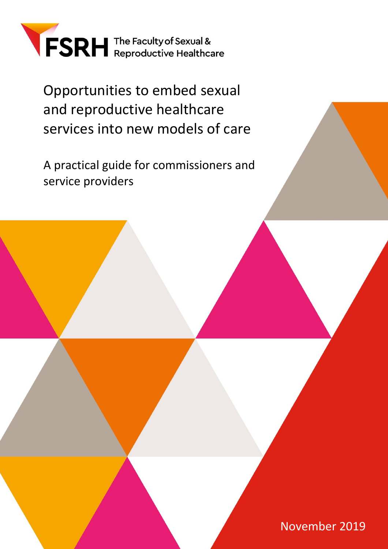

Opportunities to embed sexual and reproductive healthcare services into new models of care

A practical guide for commissioners and service providers

1 November 2019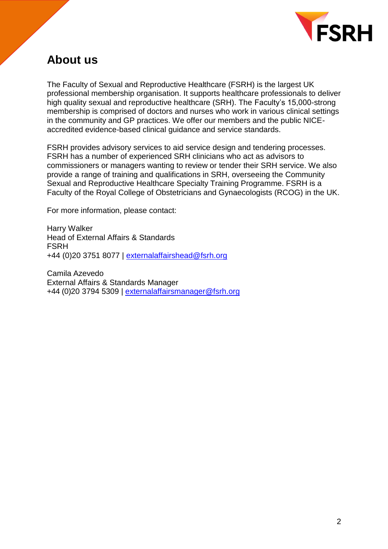

## <span id="page-1-0"></span>**About us**

The Faculty of Sexual and Reproductive Healthcare (FSRH) is the largest UK professional membership organisation. It supports healthcare professionals to deliver high quality sexual and reproductive healthcare (SRH). The Faculty's 15,000-strong membership is comprised of doctors and nurses who work in various clinical settings in the community and GP practices. We offer our members and the public NICEaccredited evidence-based clinical guidance and service standards.

FSRH provides advisory services to aid service design and tendering processes. FSRH has a number of experienced SRH clinicians who act as advisors to commissioners or managers wanting to review or tender their SRH service. We also provide a range of training and qualifications in SRH, overseeing the Community Sexual and Reproductive Healthcare Specialty Training Programme. FSRH is a Faculty of the Royal College of Obstetricians and Gynaecologists (RCOG) in the UK.

For more information, please contact:

Harry Walker Head of External Affairs & Standards FSRH +44 (0)20 3751 8077 | [externalaffairshead@fsrh.org](mailto:externalaffairshead@fsrh.org)

Camila Azevedo External Affairs & Standards Manager +44 (0)20 3794 5309 | [externalaffairsmanager@fsrh.org](mailto:externalaffairsmanager@fsrh.org)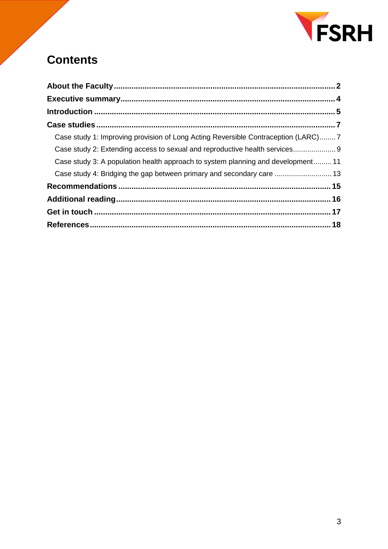

# **Contents**

| Case study 1: Improving provision of Long Acting Reversible Contraception (LARC)7 |  |
|-----------------------------------------------------------------------------------|--|
| Case study 2: Extending access to sexual and reproductive health services 9       |  |
| Case study 3: A population health approach to system planning and development 11  |  |
| Case study 4: Bridging the gap between primary and secondary care  13             |  |
|                                                                                   |  |
|                                                                                   |  |
|                                                                                   |  |
|                                                                                   |  |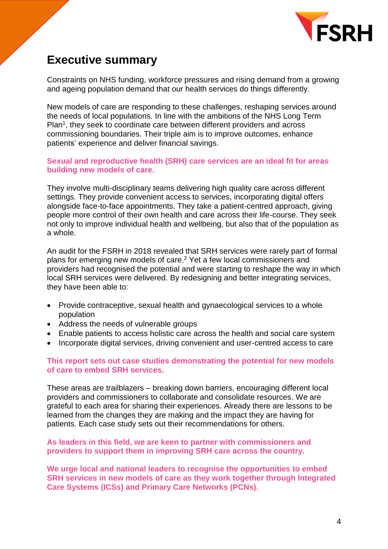

## <span id="page-3-0"></span>**Executive summary**

Constraints on NHS funding, workforce pressures and rising demand from a growing and ageing population demand that our health services do things differently.

New models of care are responding to these challenges, reshaping services around the needs of local populations. In line with the ambitions of the NHS Long Term Plan<sup>1</sup>, they seek to coordinate care between different providers and across commissioning boundaries. Their triple aim is to improve outcomes, enhance patients' experience and deliver financial savings.

#### **Sexual and reproductive health (SRH) care services are an ideal fit for areas building new models of care.**

They involve multi-disciplinary teams delivering high quality care across different settings. They provide convenient access to services, incorporating digital offers alongside face-to-face appointments. They take a patient-centred approach, giving people more control of their own health and care across their life-course. They seek not only to improve individual health and wellbeing, but also that of the population as a whole.

An audit for the FSRH in 2018 revealed that SRH services were rarely part of formal plans for emerging new models of care. <sup>2</sup> Yet a few local commissioners and providers had recognised the potential and were starting to reshape the way in which local SRH services were delivered. By redesigning and better integrating services, they have been able to:

- Provide contraceptive, sexual health and gynaecological services to a whole population
- Address the needs of vulnerable groups
- Enable patients to access holistic care across the health and social care system
- Incorporate digital services, driving convenient and user-centred access to care

#### **This report sets out case studies demonstrating the potential for new models of care to embed SRH services.**

These areas are trailblazers – breaking down barriers, encouraging different local providers and commissioners to collaborate and consolidate resources. We are grateful to each area for sharing their experiences. Already there are lessons to be learned from the changes they are making and the impact they are having for patients. Each case study sets out their recommendations for others.

#### **As leaders in this field, we are keen to partner with commissioners and providers to support them in improving SRH care across the country.**

**We urge local and national leaders to recognise the opportunities to embed SRH services in new models of care as they work together through Integrated Care Systems (ICSs) and Primary Care Networks (PCNs).**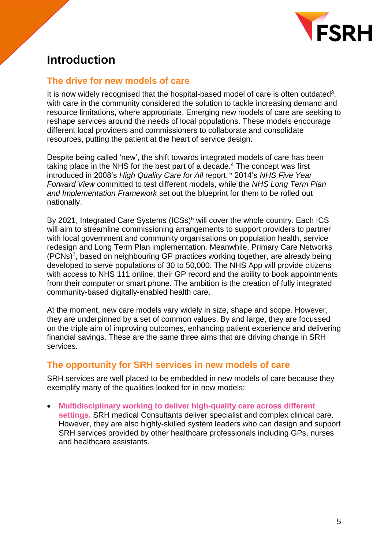

## <span id="page-4-0"></span>**Introduction**

### **The drive for new models of care**

It is now widely recognised that the hospital-based model of care is often outdated<sup>3</sup>, with care in the community considered the solution to tackle increasing demand and resource limitations, where appropriate. Emerging new models of care are seeking to reshape services around the needs of local populations. These models encourage different local providers and commissioners to collaborate and consolidate resources, putting the patient at the heart of service design.

Despite being called 'new', the shift towards integrated models of care has been taking place in the NHS for the best part of a decade.<sup>4</sup> The concept was first introduced in 2008's *High Quality Care for All* report. <sup>5</sup> 2014's *NHS Five Year Forward View* committed to test different models, while the *NHS Long Term Plan and Implementation Framework* set out the blueprint for them to be rolled out nationally.

By 2021, Integrated Care Systems (ICSs)<sup>6</sup> will cover the whole country. Each ICS will aim to streamline commissioning arrangements to support providers to partner with local government and community organisations on population health, service redesign and Long Term Plan implementation. Meanwhile, Primary Care Networks (PCNs)<sup>7</sup> , based on neighbouring GP practices working together, are already being developed to serve populations of 30 to 50,000. The NHS App will provide citizens with access to NHS 111 online, their GP record and the ability to book appointments from their computer or smart phone. The ambition is the creation of fully integrated community-based digitally-enabled health care.

At the moment, new care models vary widely in size, shape and scope. However, they are underpinned by a set of common values. By and large, they are focussed on the triple aim of improving outcomes, enhancing patient experience and delivering financial savings. These are the same three aims that are driving change in SRH services.

### **The opportunity for SRH services in new models of care**

SRH services are well placed to be embedded in new models of care because they exemplify many of the qualities looked for in new models:

• **Multidisciplinary working to deliver high-quality care across different settings.** SRH medical Consultants deliver specialist and complex clinical care. However, they are also highly-skilled system leaders who can design and support SRH services provided by other healthcare professionals including GPs, nurses and healthcare assistants.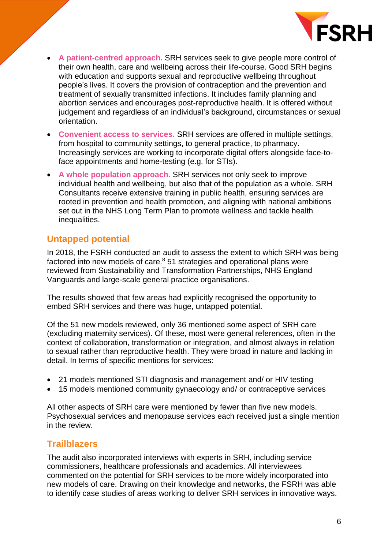

- **A patient-centred approach.** SRH services seek to give people more control of their own health, care and wellbeing across their life-course. Good SRH begins with education and supports sexual and reproductive wellbeing throughout people's lives. It covers the provision of contraception and the prevention and treatment of sexually transmitted infections. It includes family planning and abortion services and encourages post-reproductive health. It is offered without judgement and regardless of an individual's background, circumstances or sexual orientation.
- **Convenient access to services.** SRH services are offered in multiple settings, from hospital to community settings, to general practice, to pharmacy. Increasingly services are working to incorporate digital offers alongside face-toface appointments and home-testing (e.g. for STIs).
- **A whole population approach.** SRH services not only seek to improve individual health and wellbeing, but also that of the population as a whole. SRH Consultants receive extensive training in public health, ensuring services are rooted in prevention and health promotion, and aligning with national ambitions set out in the NHS Long Term Plan to promote wellness and tackle health inequalities.

### **Untapped potential**

In 2018, the FSRH conducted an audit to assess the extent to which SRH was being factored into new models of care. $8$  51 strategies and operational plans were reviewed from Sustainability and Transformation Partnerships, NHS England Vanguards and large-scale general practice organisations.

The results showed that few areas had explicitly recognised the opportunity to embed SRH services and there was huge, untapped potential.

Of the 51 new models reviewed, only 36 mentioned some aspect of SRH care (excluding maternity services). Of these, most were general references, often in the context of collaboration, transformation or integration, and almost always in relation to sexual rather than reproductive health. They were broad in nature and lacking in detail. In terms of specific mentions for services:

- 21 models mentioned STI diagnosis and management and/ or HIV testing
- 15 models mentioned community gynaecology and/ or contraceptive services

All other aspects of SRH care were mentioned by fewer than five new models. Psychosexual services and menopause services each received just a single mention in the review.

### **Trailblazers**

The audit also incorporated interviews with experts in SRH, including service commissioners, healthcare professionals and academics. All interviewees commented on the potential for SRH services to be more widely incorporated into new models of care. Drawing on their knowledge and networks, the FSRH was able to identify case studies of areas working to deliver SRH services in innovative ways.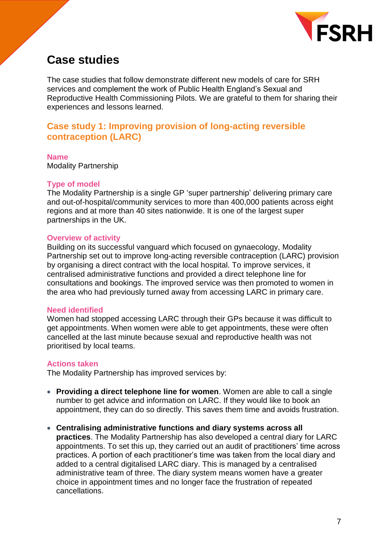

## <span id="page-6-0"></span>**Case studies**

The case studies that follow demonstrate different new models of care for SRH services and complement the work of Public Health England's Sexual and Reproductive Health Commissioning Pilots. We are grateful to them for sharing their experiences and lessons learned.

### <span id="page-6-1"></span>**Case study 1: Improving provision of long-acting reversible contraception (LARC)**

**Name** Modality Partnership

#### **Type of model**

The Modality Partnership is a single GP 'super partnership' delivering primary care and out-of-hospital/community services to more than 400,000 patients across eight regions and at more than 40 sites nationwide. It is one of the largest super partnerships in the UK.

#### **Overview of activity**

Building on its successful vanguard which focused on gynaecology, Modality Partnership set out to improve long-acting reversible contraception (LARC) provision by organising a direct contract with the local hospital. To improve services, it centralised administrative functions and provided a direct telephone line for consultations and bookings. The improved service was then promoted to women in the area who had previously turned away from accessing LARC in primary care.

#### **Need identified**

Women had stopped accessing LARC through their GPs because it was difficult to get appointments. When women were able to get appointments, these were often cancelled at the last minute because sexual and reproductive health was not prioritised by local teams.

#### **Actions taken**

The Modality Partnership has improved services by:

- **Providing a direct telephone line for women**. Women are able to call a single number to get advice and information on LARC. If they would like to book an appointment, they can do so directly. This saves them time and avoids frustration.
- **Centralising administrative functions and diary systems across all practices**. The Modality Partnership has also developed a central diary for LARC appointments. To set this up, they carried out an audit of practitioners' time across practices. A portion of each practitioner's time was taken from the local diary and added to a central digitalised LARC diary. This is managed by a centralised administrative team of three. The diary system means women have a greater choice in appointment times and no longer face the frustration of repeated cancellations.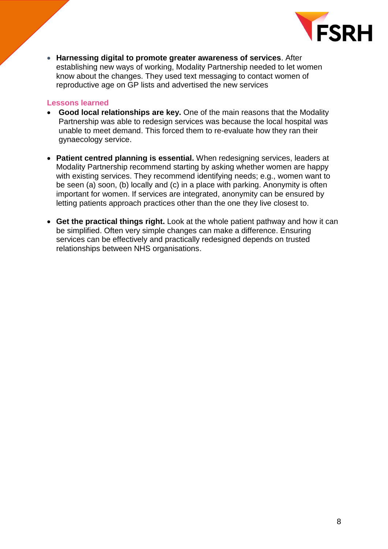

• **Harnessing digital to promote greater awareness of services**. After establishing new ways of working, Modality Partnership needed to let women know about the changes. They used text messaging to contact women of reproductive age on GP lists and advertised the new services

- **Good local relationships are key.** One of the main reasons that the Modality Partnership was able to redesign services was because the local hospital was unable to meet demand. This forced them to re-evaluate how they ran their gynaecology service.
- **Patient centred planning is essential.** When redesigning services, leaders at Modality Partnership recommend starting by asking whether women are happy with existing services. They recommend identifying needs; e.g., women want to be seen (a) soon, (b) locally and (c) in a place with parking. Anonymity is often important for women. If services are integrated, anonymity can be ensured by letting patients approach practices other than the one they live closest to.
- <span id="page-7-0"></span>• **Get the practical things right.** Look at the whole patient pathway and how it can be simplified. Often very simple changes can make a difference. Ensuring services can be effectively and practically redesigned depends on trusted relationships between NHS organisations.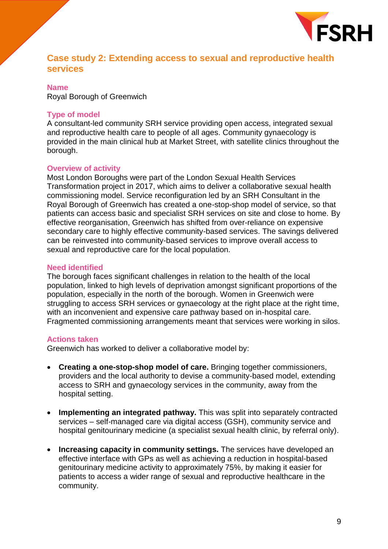

### **Case study 2: Extending access to sexual and reproductive health services**

#### **Name** Royal Borough of Greenwich

#### **Type of model**

A consultant-led community SRH service providing open access, integrated sexual and reproductive health care to people of all ages. Community gynaecology is provided in the main clinical hub at Market Street, with satellite clinics throughout the borough.

#### **Overview of activity**

Most London Boroughs were part of the London Sexual Health Services Transformation project in 2017, which aims to deliver a collaborative sexual health commissioning model. Service reconfiguration led by an SRH Consultant in the Royal Borough of Greenwich has created a one-stop-shop model of service, so that patients can access basic and specialist SRH services on site and close to home. By effective reorganisation, Greenwich has shifted from over-reliance on expensive secondary care to highly effective community-based services. The savings delivered can be reinvested into community-based services to improve overall access to sexual and reproductive care for the local population.

#### **Need identified**

The borough faces significant challenges in relation to the health of the local population, linked to high levels of deprivation amongst significant proportions of the population, especially in the north of the borough. Women in Greenwich were struggling to access SRH services or gynaecology at the right place at the right time, with an inconvenient and expensive care pathway based on in-hospital care. Fragmented commissioning arrangements meant that services were working in silos.

#### **Actions taken**

Greenwich has worked to deliver a collaborative model by:

- **Creating a one-stop-shop model of care.** Bringing together commissioners, providers and the local authority to devise a community-based model, extending access to SRH and gynaecology services in the community, away from the hospital setting.
- **Implementing an integrated pathway.** This was split into separately contracted services – self-managed care via digital access (GSH), community service and hospital genitourinary medicine (a specialist sexual health clinic, by referral only).
- **Increasing capacity in community settings.** The services have developed an effective interface with GPs as well as achieving a reduction in hospital-based genitourinary medicine activity to approximately 75%, by making it easier for patients to access a wider range of sexual and reproductive healthcare in the community.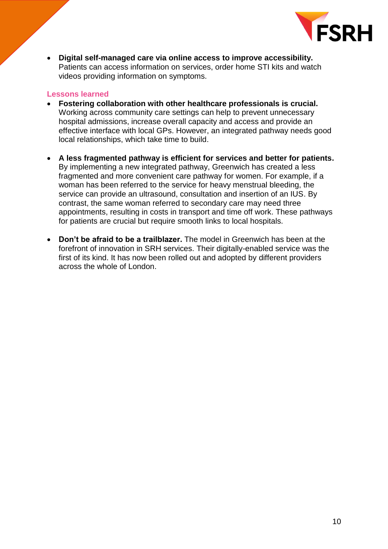

• **Digital self-managed care via online access to improve accessibility.** Patients can access information on services, order home STI kits and watch videos providing information on symptoms.

- **Fostering collaboration with other healthcare professionals is crucial.**  Working across community care settings can help to prevent unnecessary hospital admissions, increase overall capacity and access and provide an effective interface with local GPs. However, an integrated pathway needs good local relationships, which take time to build.
- **A less fragmented pathway is efficient for services and better for patients.** By implementing a new integrated pathway, Greenwich has created a less fragmented and more convenient care pathway for women. For example, if a woman has been referred to the service for heavy menstrual bleeding, the service can provide an ultrasound, consultation and insertion of an IUS. By contrast, the same woman referred to secondary care may need three appointments, resulting in costs in transport and time off work. These pathways for patients are crucial but require smooth links to local hospitals.
- <span id="page-9-0"></span>• **Don't be afraid to be a trailblazer.** The model in Greenwich has been at the forefront of innovation in SRH services. Their digitally-enabled service was the first of its kind. It has now been rolled out and adopted by different providers across the whole of London.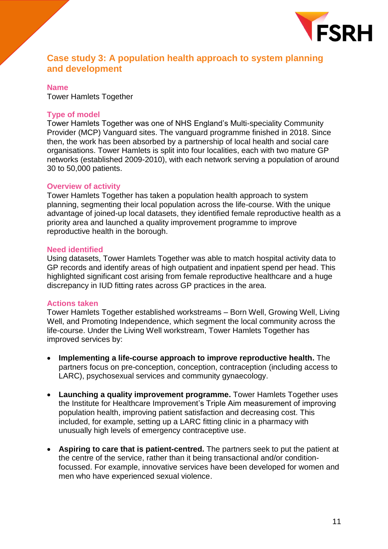

### **Case study 3: A population health approach to system planning and development**

#### **Name** Tower Hamlets Together

#### **Type of model**

Tower Hamlets Together was one of NHS England's Multi-speciality Community Provider (MCP) Vanguard sites. The vanguard programme finished in 2018. Since then, the work has been absorbed by a partnership of local health and social care organisations. Tower Hamlets is split into four localities, each with two mature GP networks (established 2009-2010), with each network serving a population of around 30 to 50,000 patients.

#### **Overview of activity**

Tower Hamlets Together has taken a population health approach to system planning, segmenting their local population across the life-course. With the unique advantage of joined-up local datasets, they identified female reproductive health as a priority area and launched a quality improvement programme to improve reproductive health in the borough.

#### **Need identified**

Using datasets, Tower Hamlets Together was able to match hospital activity data to GP records and identify areas of high outpatient and inpatient spend per head. This highlighted significant cost arising from female reproductive healthcare and a huge discrepancy in IUD fitting rates across GP practices in the area.

#### **Actions taken**

Tower Hamlets Together established workstreams – Born Well, Growing Well, Living Well, and Promoting Independence, which segment the local community across the life-course. Under the Living Well workstream, Tower Hamlets Together has improved services by:

- **Implementing a life-course approach to improve reproductive health.** The partners focus on pre-conception, conception, contraception (including access to LARC), psychosexual services and community gynaecology.
- **Launching a quality improvement programme.** Tower Hamlets Together uses the Institute for Healthcare Improvement's Triple Aim measurement of improving population health, improving patient satisfaction and decreasing cost. This included, for example, setting up a LARC fitting clinic in a pharmacy with unusually high levels of emergency contraceptive use.
- **Aspiring to care that is patient-centred.** The partners seek to put the patient at the centre of the service, rather than it being transactional and/or conditionfocussed. For example, innovative services have been developed for women and men who have experienced sexual violence.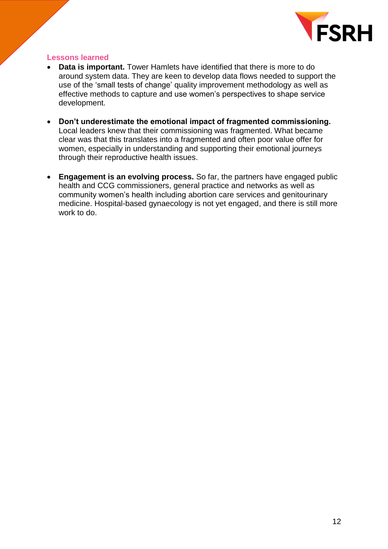

- **Data is important.** Tower Hamlets have identified that there is more to do around system data. They are keen to develop data flows needed to support the use of the 'small tests of change' quality improvement methodology as well as effective methods to capture and use women's perspectives to shape service development.
- **Don't underestimate the emotional impact of fragmented commissioning.**  Local leaders knew that their commissioning was fragmented. What became clear was that this translates into a fragmented and often poor value offer for women, especially in understanding and supporting their emotional journeys through their reproductive health issues.
- <span id="page-11-0"></span>• **Engagement is an evolving process.** So far, the partners have engaged public health and CCG commissioners, general practice and networks as well as community women's health including abortion care services and genitourinary medicine. Hospital-based gynaecology is not yet engaged, and there is still more work to do.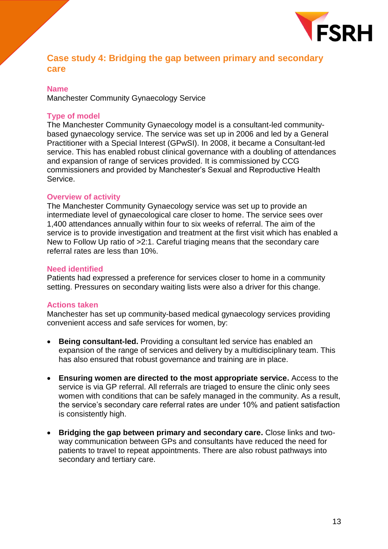

## **Case study 4: Bridging the gap between primary and secondary care**

#### **Name**

Manchester Community Gynaecology Service

#### **Type of model**

The Manchester Community Gynaecology model is a consultant-led communitybased gynaecology service. The service was set up in 2006 and led by a General Practitioner with a Special Interest (GPwSI). In 2008, it became a Consultant-led service. This has enabled robust clinical governance with a doubling of attendances and expansion of range of services provided. It is commissioned by CCG commissioners and provided by Manchester's Sexual and Reproductive Health Service.

#### **Overview of activity**

The Manchester Community Gynaecology service was set up to provide an intermediate level of gynaecological care closer to home. The service sees over 1,400 attendances annually within four to six weeks of referral. The aim of the service is to provide investigation and treatment at the first visit which has enabled a New to Follow Up ratio of >2:1. Careful triaging means that the secondary care referral rates are less than 10%.

#### **Need identified**

Patients had expressed a preference for services closer to home in a community setting. Pressures on secondary waiting lists were also a driver for this change.

#### **Actions taken**

Manchester has set up community-based medical gynaecology services providing convenient access and safe services for women, by:

- **Being consultant-led.** Providing a consultant led service has enabled an expansion of the range of services and delivery by a multidisciplinary team. This has also ensured that robust governance and training are in place.
- **Ensuring women are directed to the most appropriate service.** Access to the service is via GP referral. All referrals are triaged to ensure the clinic only sees women with conditions that can be safely managed in the community. As a result, the service's secondary care referral rates are under 10% and patient satisfaction is consistently high.
- **Bridging the gap between primary and secondary care.** Close links and twoway communication between GPs and consultants have reduced the need for patients to travel to repeat appointments. There are also robust pathways into secondary and tertiary care.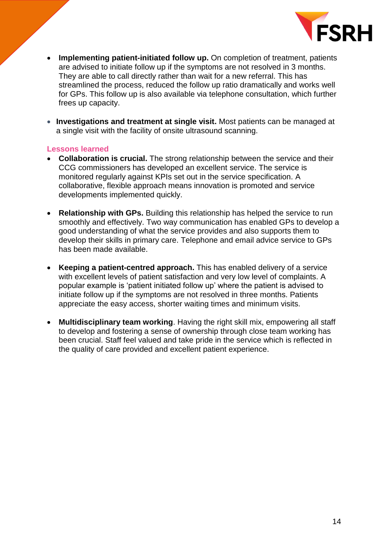

- **Implementing patient-initiated follow up.** On completion of treatment, patients are advised to initiate follow up if the symptoms are not resolved in 3 months. They are able to call directly rather than wait for a new referral. This has streamlined the process, reduced the follow up ratio dramatically and works well for GPs. This follow up is also available via telephone consultation, which further frees up capacity.
- **Investigations and treatment at single visit.** Most patients can be managed at a single visit with the facility of onsite ultrasound scanning.

- **Collaboration is crucial.** The strong relationship between the service and their CCG commissioners has developed an excellent service. The service is monitored regularly against KPIs set out in the service specification. A collaborative, flexible approach means innovation is promoted and service developments implemented quickly.
- **Relationship with GPs.** Building this relationship has helped the service to run smoothly and effectively. Two way communication has enabled GPs to develop a good understanding of what the service provides and also supports them to develop their skills in primary care. Telephone and email advice service to GPs has been made available.
- **Keeping a patient-centred approach.** This has enabled delivery of a service with excellent levels of patient satisfaction and very low level of complaints. A popular example is 'patient initiated follow up' where the patient is advised to initiate follow up if the symptoms are not resolved in three months. Patients appreciate the easy access, shorter waiting times and minimum visits.
- <span id="page-13-0"></span>• **Multidisciplinary team working**. Having the right skill mix, empowering all staff to develop and fostering a sense of ownership through close team working has been crucial. Staff feel valued and take pride in the service which is reflected in the quality of care provided and excellent patient experience.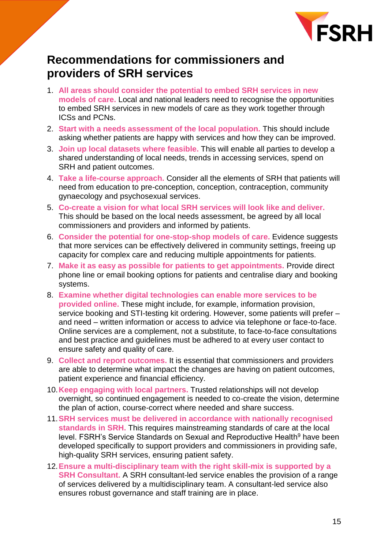

## **Recommendations for commissioners and providers of SRH services**

- 1. **All areas should consider the potential to embed SRH services in new models of care.** Local and national leaders need to recognise the opportunities to embed SRH services in new models of care as they work together through ICSs and PCNs.
- 2. **Start with a needs assessment of the local population.** This should include asking whether patients are happy with services and how they can be improved.
- 3. **Join up local datasets where feasible.** This will enable all parties to develop a shared understanding of local needs, trends in accessing services, spend on SRH and patient outcomes.
- 4. **Take a life-course approach.** Consider all the elements of SRH that patients will need from education to pre-conception, conception, contraception, community gynaecology and psychosexual services.
- 5. **Co-create a vision for what local SRH services will look like and deliver.** This should be based on the local needs assessment, be agreed by all local commissioners and providers and informed by patients.
- 6. **Consider the potential for one-stop-shop models of care.** Evidence suggests that more services can be effectively delivered in community settings, freeing up capacity for complex care and reducing multiple appointments for patients.
- 7. **Make it as easy as possible for patients to get appointments.** Provide direct phone line or email booking options for patients and centralise diary and booking systems.
- 8. **Examine whether digital technologies can enable more services to be provided online.** These might include, for example, information provision, service booking and STI-testing kit ordering. However, some patients will prefer – and need – written information or access to advice via telephone or face-to-face. Online services are a complement, not a substitute, to face-to-face consultations and best practice and guidelines must be adhered to at every user contact to ensure safety and quality of care.
- 9. **Collect and report outcomes.** It is essential that commissioners and providers are able to determine what impact the changes are having on patient outcomes, patient experience and financial efficiency.
- 10.**Keep engaging with local partners.** Trusted relationships will not develop overnight, so continued engagement is needed to co-create the vision, determine the plan of action, course-correct where needed and share success.
- 11.**SRH services must be delivered in accordance with nationally recognised standards in SRH.** This requires mainstreaming standards of care at the local level. FSRH's Service Standards on Sexual and Reproductive Health<sup>9</sup> have been developed specifically to support providers and commissioners in providing safe, high-quality SRH services, ensuring patient safety.
- 12.**Ensure a multi-disciplinary team with the right skill-mix is supported by a SRH Consultant.** A SRH consultant-led service enables the provision of a range of services delivered by a multidisciplinary team. A consultant-led service also ensures robust governance and staff training are in place.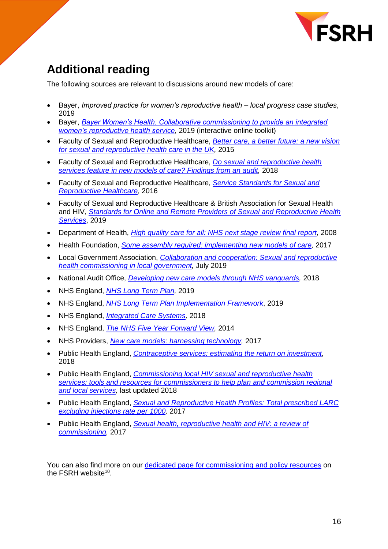

# <span id="page-15-0"></span>**Additional reading**

The following sources are relevant to discussions around new models of care:

- Bayer, *Improved practice for women's reproductive health – local progress case studies*, 2019
- Bayer, *[Bayer Women's Health. Collaborative commissioning to provide an integrated](https://bamboo-development.com/bayer/womens-health-collaborations/)  [women's reproductive health service](https://bamboo-development.com/bayer/womens-health-collaborations/)*, 2019 (interactive online toolkit)
- Faculty of Sexual and Reproductive Healthcare, *[Better care, a better future: a new vision](https://www.fsrh.org/about-us/our-vision/)  [for sexual and reproductive health care in the UK,](https://www.fsrh.org/about-us/our-vision/)* 2015
- Faculty of Sexual and Reproductive Healthcare, *[Do sexual and reproductive health](https://www.fsrh.org/documents/briefing-audit-sexual-reproductive-healthcare-new-models-care/)  [services feature in new models of care? Findings from an audit,](https://www.fsrh.org/documents/briefing-audit-sexual-reproductive-healthcare-new-models-care/)* 2018
- Faculty of Sexual and Reproductive Healthcare, *[Service Standards for Sexual and](https://www.fsrh.org/standards-and-guidance/documents/fsrh-service-standards-for-sexual-and-reproductive-healthcare/)  [Reproductive Healthcare](https://www.fsrh.org/standards-and-guidance/documents/fsrh-service-standards-for-sexual-and-reproductive-healthcare/)*, 2016
- Faculty of Sexual and Reproductive Healthcare & British Association for Sexual Health and HIV, *[Standards for Online and Remote Providers of Sexual and Reproductive Health](https://www.fsrh.org/standards-and-guidance/documents/fsrhbashh-standards-for-online-and-remote-providers-of-sexual/)  [Services](https://www.fsrh.org/standards-and-guidance/documents/fsrhbashh-standards-for-online-and-remote-providers-of-sexual/)*, 2019
- Department of Health, *[High quality care for all: NHS next stage review final report,](https://www.gov.uk/government/publications/high-quality-care-for-all-nhs-next-stage-review-final-report)* 2008
- Health Foundation, *[Some assembly required: implementing new models of care,](https://www.health.org.uk/publications/some-assembly-required-implementing-new-models-of-care)* 2017
- Local Government Association, *[Collaboration and cooperation: Sexual and reproductive](https://www.local.gov.uk/collaboration-and-cooperation-sexual-and-reproductive-health-commissioning)  [health commissioning in local government,](https://www.local.gov.uk/collaboration-and-cooperation-sexual-and-reproductive-health-commissioning)* July 2019
- National Audit Office, *[Developing new care models through NHS vanguards,](https://www.nao.org.uk/report/developing-new-care-models-through-nhs-vanguards/)* 2018
- NHS England, *[NHS Long Term Plan,](https://www.longtermplan.nhs.uk/)* 2019
- NHS England, *[NHS Long Term Plan Implementation Framework](https://www.longtermplan.nhs.uk/implementation-framework/)*, 2019
- NHS England, *[Integrated Care Systems,](https://www.england.nhs.uk/integratedcare/integrated-care-systems/)* 2018
- NHS England, *[The NHS Five Year Forward View,](https://www.england.nhs.uk/five-year-forward-view/)* 2014
- NHS Providers, *[New care models: harnessing technology,](https://nhsproviders.org/media/3416/new-care-models-harnessing-technology_final.pdf)* 2017
- Public Health England, *[Contraceptive services: estimating the return on investment,](https://www.gov.uk/government/publications/contraceptive-services-estimating-the-return-on-investment)* 2018
- Public Health England, *[Commissioning local HIV sexual and reproductive health](https://www.gov.uk/guidance/commissioning-regional-and-local-sexual-health-services)  [services: tools and resources for commissioners to help plan and commission regional](https://www.gov.uk/guidance/commissioning-regional-and-local-sexual-health-services)  [and local services,](https://www.gov.uk/guidance/commissioning-regional-and-local-sexual-health-services)* last updated 2018
- Public Health England, *[Sexual and Reproductive Health Profiles: Total prescribed LARC](https://fingertips.phe.org.uk/profile/sexualhealth/data#page/3/gid/8000057/pat/6/par/E12000004/ati/202/are/E06000015/iid/92254/age/1/sex/2)  [excluding injections rate per 1000,](https://fingertips.phe.org.uk/profile/sexualhealth/data#page/3/gid/8000057/pat/6/par/E12000004/ati/202/are/E06000015/iid/92254/age/1/sex/2)* 2017
- Public Health England, *[Sexual health, reproductive health and HIV: a](https://www.gov.uk/government/publications/sexual-health-reproductive-health-and-hiv-commissioning-review) review of [commissioning,](https://www.gov.uk/government/publications/sexual-health-reproductive-health-and-hiv-commissioning-review)* 2017

You can also find more on our [dedicated page for commissioning and policy resources](https://www.fsrh.org/policy-and-media/information-for-commissioners-and-policymakers/) on the FSRH website<sup>10</sup>.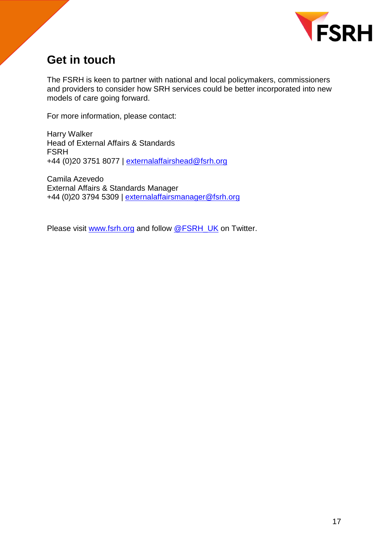

## <span id="page-16-0"></span>**Get in touch**

The FSRH is keen to partner with national and local policymakers, commissioners and providers to consider how SRH services could be better incorporated into new models of care going forward.

For more information, please contact:

Harry Walker Head of External Affairs & Standards FSRH +44 (0)20 3751 8077 | [externalaffairshead@fsrh.org](mailto:externalaffairshead@fsrh.org)

Camila Azevedo External Affairs & Standards Manager +44 (0)20 3794 5309 | [externalaffairsmanager@fsrh.org](mailto:externalaffairsmanager@fsrh.org)

Please visit [www.fsrh.org](file://///vserver01/Company%20Shared%20Folders/External%20Affairs%20&%20Standards/Influencing/Incisive%20New%20Models%20of%20Care%20Work/www.fsrh.org) and follow [@FSRH\\_UK](https://twitter.com/FSRH_UK) on Twitter.